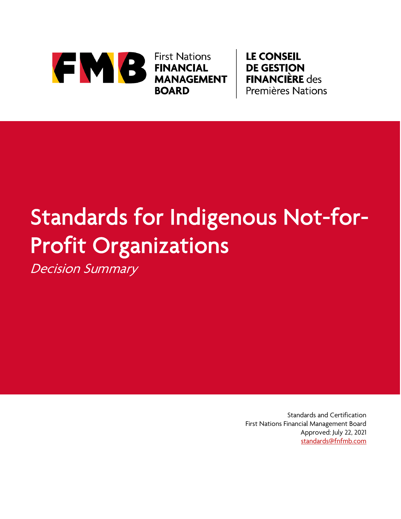

**First Nations FINANCIAL MANAGEMENT BOARD** 

**LE CONSEIL DE GESTION FINANCIÈRE** des **Premières Nations** 

# Standards for Indigenous Not-for-Profit Organizations

Decision Summary

Standards and Certification First Nations Financial Management Board Approved: July 22, 2021 [standards@fnfmb.com](mailto:standards@fnfmb.com)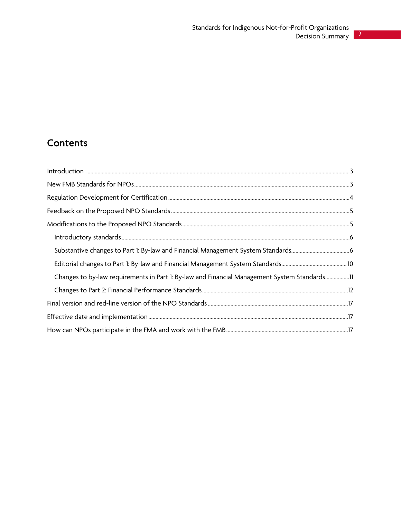## **Contents**

| Changes to by-law requirements in Part 1: By-law and Financial Management System Standards11 |
|----------------------------------------------------------------------------------------------|
|                                                                                              |
|                                                                                              |
|                                                                                              |
|                                                                                              |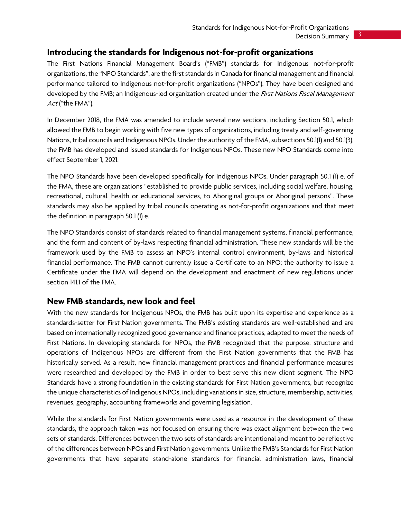#### <span id="page-2-0"></span>**Introducing the standards for Indigenous not-for-profit organizations**

The First Nations Financial Management Board's ("FMB") standards for Indigenous not-for-profit organizations, the "NPO Standards", are the first standards in Canada for financial management and financial performance tailored to Indigenous not-for-profit organizations ("NPOs"). They have been designed and developed by the FMB; an Indigenous-led organization created under the First Nations Fiscal Management Act ("the FMA").

In December 2018, the FMA was amended to include several new sections, including Section 50.1, which allowed the FMB to begin working with five new types of organizations, including treaty and self-governing Nations, tribal councils and Indigenous NPOs. Under the authority of the FMA, subsections 50.1(1) and 50.1(3), the FMB has developed and issued standards for Indigenous NPOs. These new NPO Standards come into effect September 1, 2021.

The NPO Standards have been developed specifically for Indigenous NPOs. Under paragraph 50.1 (1) e. of the FMA, these are organizations "established to provide public services, including social welfare, housing, recreational, cultural, health or educational services, to Aboriginal groups or Aboriginal persons". These standards may also be applied by tribal councils operating as not-for-profit organizations and that meet the definition in paragraph 50.1 (1) e.

The NPO Standards consist of standards related to financial management systems, financial performance, and the form and content of by-laws respecting financial administration. These new standards will be the framework used by the FMB to assess an NPO's internal control environment, by-laws and historical financial performance. The FMB cannot currently issue a Certificate to an NPO; the authority to issue a Certificate under the FMA will depend on the development and enactment of new regulations under section 141.1 of the FMA.

#### <span id="page-2-1"></span>**New FMB standards, new look and feel**

With the new standards for Indigenous NPOs, the FMB has built upon its expertise and experience as a standards-setter for First Nation governments. The FMB's existing standards are well-established and are based on internationally recognized good governance and finance practices, adapted to meet the needs of First Nations. In developing standards for NPOs, the FMB recognized that the purpose, structure and operations of Indigenous NPOs are different from the First Nation governments that the FMB has historically served. As a result, new financial management practices and financial performance measures were researched and developed by the FMB in order to best serve this new client segment. The NPO Standards have a strong foundation in the existing standards for First Nation governments, but recognize the unique characteristics of Indigenous NPOs, including variations in size, structure, membership, activities, revenues, geography, accounting frameworks and governing legislation.

While the standards for First Nation governments were used as a resource in the development of these standards, the approach taken was not focused on ensuring there was exact alignment between the two sets of standards. Differences between the two sets of standards are intentional and meant to be reflective of the differences between NPOs and First Nation governments. Unlike the FMB's Standards for First Nation governments that have separate stand-alone standards for financial administration laws, financial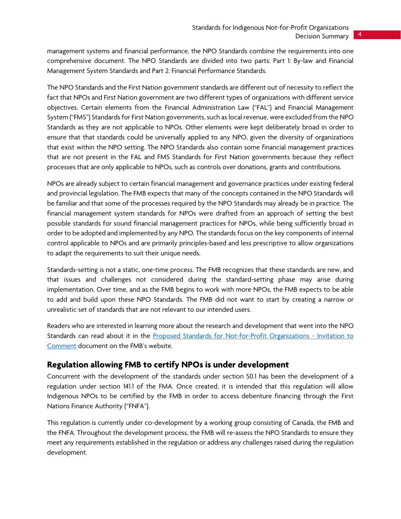management systems and financial performance, the NPO Standards combine the requirements into one comprehensive document. The NPO Standards are divided into two parts: Part 1: By-law and Financial Management System Standards and Part 2: Financial Performance Standards.

The NPO Standards and the First Nation government standards are different out of necessity to reflect the fact that NPOs and First Nation government are two different types of organizations with different service objectives. Certain elements from the Financial Administration Law ("FAL") and Financial Management System ("FMS") Standards for First Nation governments, such as local revenue, were excluded from the NPO Standards as they are not applicable to NPOs. Other elements were kept deliberately broad in order to ensure that that standards could be universally applied to any NPO, given the diversity of organizations that exist within the NPO setting. The NPO Standards also contain some financial management practices that are not present in the FAL and FMS Standards for First Nation governments because they reflect processes that are only applicable to NPOs, such as controls over donations, grants and contributions.

NPOs are already subject to certain financial management and governance practices under existing federal and provincial legislation. The FMB expects that many of the concepts contained in the NPO Standards will be familiar and that some of the processes required by the NPO Standards may already be in practice. The financial management system standards for NPOs were drafted from an approach of setting the best possible standards for sound financial management practices for NPOs, while being sufficiently broad in order to be adopted and implemented by any NPO. The standards focus on the key components of internal control applicable to NPOs and are primarily principles-based and less prescriptive to allow organizations to adapt the requirements to suit their unique needs.

Standards-setting is not a static, one-time process. The FMB recognizes that these standards are new, and that issues and challenges not considered during the standard-setting phase may arise during implementation. Over time, and as the FMB begins to work with more NPOs, the FMB expects to be able to add and build upon these NPO Standards. The FMB did not want to start by creating a narrow or unrealistic set of standards that are not relevant to our intended users.

Readers who are interested in learning more about the research and development that went into the NPO Standards can read about it in the [Proposed Standards for Not-for-Profit Organizations -](https://fnfmb.com/sites/default/files/2021-03/fmb_proposed_standards_performance_measures_npos_-_invitation_to_comment.pdf) Invitation to [Comment](https://fnfmb.com/sites/default/files/2021-03/fmb_proposed_standards_performance_measures_npos_-_invitation_to_comment.pdf) document on the FMB's website.

### <span id="page-3-0"></span>**Regulation allowing FMB to certify NPOs is under development**

Concurrent with the development of the standards under section 50.1 has been the development of a regulation under section 141.1 of the FMA. Once created, it is intended that this regulation will allow Indigenous NPOs to be certified by the FMB in order to access debenture financing through the First Nations Finance Authority ("FNFA").

This regulation is currently under co-development by a working group consisting of Canada, the FMB and the FNFA. Throughout the development process, the FMB will re-assess the NPO Standards to ensure they meet any requirements established in the regulation or address any challenges raised during the regulation development.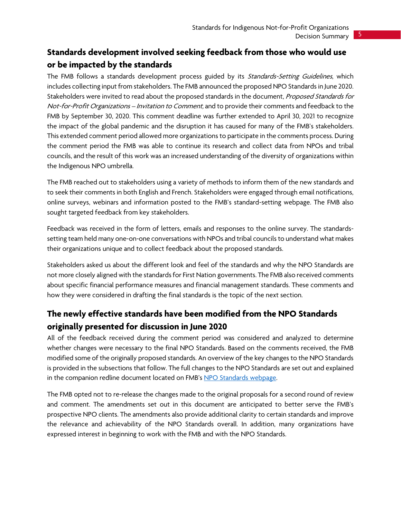## <span id="page-4-0"></span>**Standards development involved seeking feedback from those who would use or be impacted by the standards**

The FMB follows a standards development process guided by its Standards-Setting Guidelines, which includes collecting input from stakeholders. The FMB announced the proposed NPO Standards in June 2020. Stakeholders were invited to read about the proposed standards in the document, Proposed Standards for Not-for-Profit Organizations - Invitation to Comment, and to provide their comments and feedback to the FMB by September 30, 2020. This comment deadline was further extended to April 30, 2021 to recognize the impact of the global pandemic and the disruption it has caused for many of the FMB's stakeholders. This extended comment period allowed more organizations to participate in the comments process. During the comment period the FMB was able to continue its research and collect data from NPOs and tribal councils, and the result of this work was an increased understanding of the diversity of organizations within the Indigenous NPO umbrella.

The FMB reached out to stakeholders using a variety of methods to inform them of the new standards and to seek their comments in both English and French. Stakeholders were engaged through email notifications, online surveys, webinars and information posted to the FMB's standard-setting webpage. The FMB also sought targeted feedback from key stakeholders.

Feedback was received in the form of letters, emails and responses to the online survey. The standardssetting team held many one-on-one conversations with NPOs and tribal councils to understand what makes their organizations unique and to collect feedback about the proposed standards.

Stakeholders asked us about the different look and feel of the standards and why the NPO Standards are not more closely aligned with the standards for First Nation governments. The FMB also received comments about specific financial performance measures and financial management standards. These comments and how they were considered in drafting the final standards is the topic of the next section.

## <span id="page-4-1"></span>**The newly effective standards have been modified from the NPO Standards originally presented for discussion in June 2020**

All of the feedback received during the comment period was considered and analyzed to determine whether changes were necessary to the final NPO Standards. Based on the comments received, the FMB modified some of the originally proposed standards. An overview of the key changes to the NPO Standards is provided in the subsections that follow. The full changes to the NPO Standards are set out and explained in the companion redline document located on FMB'[s NPO Standards webpage.](https://fnfmb.com/en/services/set-standards/standards-not-profit-organizations)

The FMB opted not to re-release the changes made to the original proposals for a second round of review and comment. The amendments set out in this document are anticipated to better serve the FMB's prospective NPO clients. The amendments also provide additional clarity to certain standards and improve the relevance and achievability of the NPO Standards overall. In addition, many organizations have expressed interest in beginning to work with the FMB and with the NPO Standards.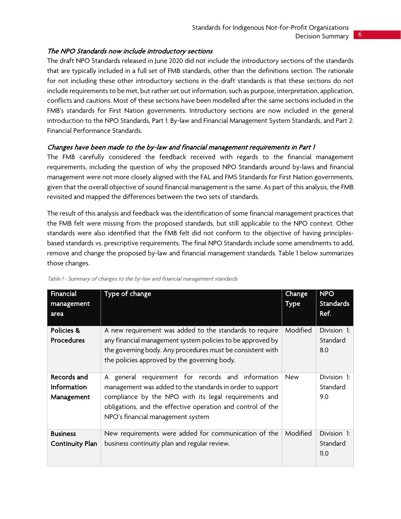#### <span id="page-5-0"></span>The NPO Standards now include introductory sections

The draft NPO Standards released in June 2020 did not include the introductory sections of the standards that are typically included in a full set of FMB standards, other than the definitions section. The rationale for not including these other introductory sections in the draft standards is that these sections do not include requirements to be met, but rather set out information, such as purpose, interpretation, application, conflicts and cautions. Most of these sections have been modelled after the same sections included in the FMB's standards for First Nation governments. Introductory sections are now included in the general introduction to the NPO Standards, Part 1: By-law and Financial Management System Standards, and Part 2: Financial Performance Standards.

#### <span id="page-5-1"></span>Changes have been made to the by-law and financial management requirements in Part 1

The FMB carefully considered the feedback received with regards to the financial management requirements, including the question of why the proposed NPO Standards around by-laws and financial management were not more closely aligned with the FAL and FMS Standards for First Nation governments, given that the overall objective of sound financial management is the same. As part of this analysis, the FMB revisited and mapped the differences between the two sets of standards.

The result of this analysis and feedback was the identification of some financial management practices that the FMB felt were missing from the proposed standards, but still applicable to the NPO context. Other standards were also identified that the FMB felt did not conform to the objective of having principlesbased standards vs. prescriptive requirements. The final NPO Standards include some amendments to add, remove and change the proposed by-law and financial management standards. Table 1 below summarizes those changes.

| <b>Financial</b>      | Type of change                                              | Change      | <b>NPO</b>       |
|-----------------------|-------------------------------------------------------------|-------------|------------------|
| management            |                                                             | <b>Type</b> | <b>Standards</b> |
| area                  |                                                             |             | Ref.             |
| <b>Policies &amp;</b> | A new requirement was added to the standards to require     | Modified    | Division 1:      |
| <b>Procedures</b>     | any financial management system policies to be approved by  |             | Standard         |
|                       | the governing body. Any procedures must be consistent with  |             | 8.0              |
|                       | the policies approved by the governing body.                |             |                  |
| Records and           | general requirement for records and information<br>A        | <b>New</b>  | Division 1:      |
| <b>Information</b>    | management was added to the standards in order to support   |             | Standard         |
| Management            | compliance by the NPO with its legal requirements and       |             | 9.0              |
|                       | obligations, and the effective operation and control of the |             |                  |
|                       | NPO's financial management system                           |             |                  |
| <b>Business</b>       | New requirements were added for communication of the        | Modified    | Division 1:      |
| Continuity Plan       | business continuity plan and regular review.                |             | Standard         |
|                       |                                                             |             | 11.0             |

Table 1 - Summary of changes to the by-law and financial management standards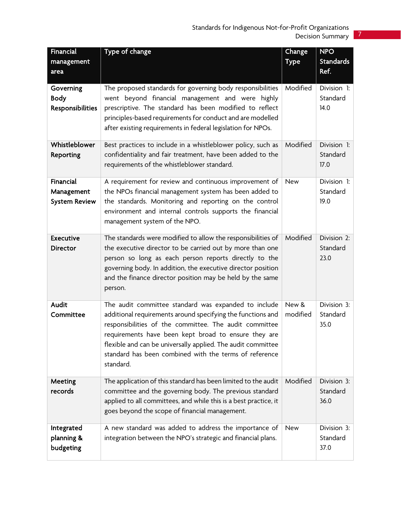| <b>Financial</b>     | Type of change                                                   | Change      | NPO              |
|----------------------|------------------------------------------------------------------|-------------|------------------|
| management           |                                                                  | <b>Type</b> | <b>Standards</b> |
| area                 |                                                                  |             | Ref.             |
| Governing            | The proposed standards for governing body responsibilities       | Modified    | Division 1:      |
| <b>Body</b>          | went beyond financial management and were highly                 |             | Standard         |
| Responsibilities     | prescriptive. The standard has been modified to reflect          |             | 14.0             |
|                      | principles-based requirements for conduct and are modelled       |             |                  |
|                      | after existing requirements in federal legislation for NPOs.     |             |                  |
| Whistleblower        | Best practices to include in a whistleblower policy, such as     | Modified    | Division 1:      |
| Reporting            | confidentiality and fair treatment, have been added to the       |             | Standard         |
|                      | requirements of the whistleblower standard.                      |             | 17.0             |
|                      |                                                                  |             |                  |
| <b>Financial</b>     | A requirement for review and continuous improvement of           | <b>New</b>  | Division 1:      |
| Management           | the NPOs financial management system has been added to           |             | Standard         |
| <b>System Review</b> | the standards. Monitoring and reporting on the control           |             | 19.0             |
|                      | environment and internal controls supports the financial         |             |                  |
|                      | management system of the NPO.                                    |             |                  |
| <b>Executive</b>     | The standards were modified to allow the responsibilities of     | Modified    | Division 2:      |
| <b>Director</b>      | the executive director to be carried out by more than one        |             | Standard         |
|                      | person so long as each person reports directly to the            |             | 23.0             |
|                      | governing body. In addition, the executive director position     |             |                  |
|                      | and the finance director position may be held by the same        |             |                  |
|                      | person.                                                          |             |                  |
| Audit                | The audit committee standard was expanded to include             | New &       | Division 3:      |
| Committee            | additional requirements around specifying the functions and      | modified    | Standard         |
|                      | responsibilities of the committee. The audit committee           |             | 35.0             |
|                      | requirements have been kept broad to ensure they are             |             |                  |
|                      | flexible and can be universally applied. The audit committee     |             |                  |
|                      | standard has been combined with the terms of reference           |             |                  |
|                      | standard.                                                        |             |                  |
| Meeting              | The application of this standard has been limited to the audit   | Modified    | Division 3:      |
| records              | committee and the governing body. The previous standard          |             | Standard         |
|                      | applied to all committees, and while this is a best practice, it |             | 36.0             |
|                      | goes beyond the scope of financial management.                   |             |                  |
| Integrated           | A new standard was added to address the importance of            | <b>New</b>  | Division 3:      |
| planning &           | integration between the NPO's strategic and financial plans.     |             | Standard         |
| budgeting            |                                                                  |             | 37.0             |
|                      |                                                                  |             |                  |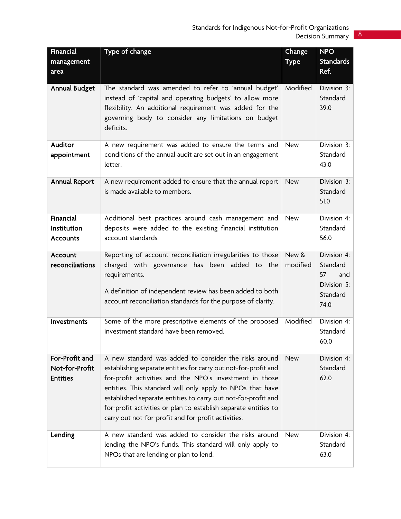| Financial<br>management                             | Type of change                                                                                                                                                                                                                                                                                                                                                                                                                              | Change<br><b>Type</b> | <b>NPO</b><br><b>Standards</b><br>Ref.                                  |
|-----------------------------------------------------|---------------------------------------------------------------------------------------------------------------------------------------------------------------------------------------------------------------------------------------------------------------------------------------------------------------------------------------------------------------------------------------------------------------------------------------------|-----------------------|-------------------------------------------------------------------------|
| area<br><b>Annual Budget</b>                        | The standard was amended to refer to 'annual budget'<br>instead of 'capital and operating budgets' to allow more<br>flexibility. An additional requirement was added for the<br>governing body to consider any limitations on budget<br>deficits.                                                                                                                                                                                           | Modified              | Division 3:<br>Standard<br>39.0                                         |
| Auditor<br>appointment                              | A new requirement was added to ensure the terms and<br>conditions of the annual audit are set out in an engagement<br>letter.                                                                                                                                                                                                                                                                                                               | <b>New</b>            | Division 3:<br>Standard<br>43.0                                         |
| <b>Annual Report</b>                                | A new requirement added to ensure that the annual report<br>is made available to members.                                                                                                                                                                                                                                                                                                                                                   | <b>New</b>            | Division 3:<br>Standard<br>51.0                                         |
| Financial<br>Institution<br><b>Accounts</b>         | Additional best practices around cash management and<br>deposits were added to the existing financial institution<br>account standards.                                                                                                                                                                                                                                                                                                     | New                   | Division 4:<br>Standard<br>56.0                                         |
| Account<br>reconciliations                          | Reporting of account reconciliation irregularities to those<br>charged with governance has been added to the<br>requirements.<br>A definition of independent review has been added to both<br>account reconciliation standards for the purpose of clarity.                                                                                                                                                                                  | New &<br>modified     | Division 4:<br>Standard<br>57<br>and<br>Division 5:<br>Standard<br>74.0 |
| Investments                                         | Some of the more prescriptive elements of the proposed<br>investment standard have been removed.                                                                                                                                                                                                                                                                                                                                            | Modified              | Division 4:<br>Standard<br>60.0                                         |
| For-Profit and<br>Not-for-Profit<br><b>Entities</b> | A new standard was added to consider the risks around<br>establishing separate entities for carry out not-for-profit and<br>for-profit activities and the NPO's investment in those<br>entities. This standard will only apply to NPOs that have<br>established separate entities to carry out not-for-profit and<br>for-profit activities or plan to establish separate entities to<br>carry out not-for-profit and for-profit activities. | <b>New</b>            | Division 4:<br>Standard<br>62.0                                         |
| Lending                                             | A new standard was added to consider the risks around<br>lending the NPO's funds. This standard will only apply to<br>NPOs that are lending or plan to lend.                                                                                                                                                                                                                                                                                | <b>New</b>            | Division 4:<br>Standard<br>63.0                                         |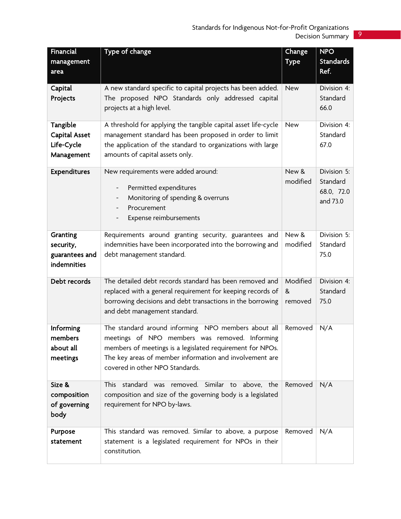| Financial            | Type of change                                                 | Change      | <b>NPO</b>       |
|----------------------|----------------------------------------------------------------|-------------|------------------|
| management           |                                                                | <b>Type</b> | <b>Standards</b> |
| area                 |                                                                |             | Ref.             |
|                      |                                                                |             |                  |
| Capital              | A new standard specific to capital projects has been added.    | <b>New</b>  | Division 4:      |
| Projects             | The proposed NPO Standards only addressed capital              |             | Standard         |
|                      | projects at a high level.                                      |             | 66.0             |
| Tangible             | A threshold for applying the tangible capital asset life-cycle | <b>New</b>  | Division 4:      |
| <b>Capital Asset</b> | management standard has been proposed in order to limit        |             | Standard         |
| Life-Cycle           | the application of the standard to organizations with large    |             | 67.0             |
| Management           | amounts of capital assets only.                                |             |                  |
|                      |                                                                |             |                  |
| <b>Expenditures</b>  | New requirements were added around:                            | New &       | Division 5:      |
|                      | Permitted expenditures<br>-                                    | modified    | Standard         |
|                      | Monitoring of spending & overruns                              |             | 68.0, 72.0       |
|                      | Procurement<br>$\qquad \qquad -$                               |             | and 73.0         |
|                      | Expense reimbursements                                         |             |                  |
|                      |                                                                |             |                  |
| Granting             | Requirements around granting security, guarantees and          | New &       | Division 5:      |
| security,            | indemnities have been incorporated into the borrowing and      | modified    | Standard         |
| guarantees and       | debt management standard.                                      |             | 75.0             |
| indemnities          |                                                                |             |                  |
|                      |                                                                |             |                  |
| Debt records         | The detailed debt records standard has been removed and        | Modified    | Division 4:      |
|                      | replaced with a general requirement for keeping records of     | &           | Standard         |
|                      | borrowing decisions and debt transactions in the borrowing     | removed     | 75.0             |
|                      | and debt management standard.                                  |             |                  |
| Informing            | The standard around informing NPO members about all            | Removed     | N/A              |
| members              | meetings of NPO members was removed. Informing                 |             |                  |
| about all            | members of meetings is a legislated requirement for NPOs.      |             |                  |
| meetings             | The key areas of member information and involvement are        |             |                  |
|                      | covered in other NPO Standards.                                |             |                  |
|                      |                                                                |             |                  |
| Size &               | This standard was removed. Similar to above, the               | Removed     | N/A              |
| composition          | composition and size of the governing body is a legislated     |             |                  |
| of governing         | requirement for NPO by-laws.                                   |             |                  |
| body                 |                                                                |             |                  |
| Purpose              | This standard was removed. Similar to above, a purpose         | Removed     | N/A              |
| statement            | statement is a legislated requirement for NPOs in their        |             |                  |
|                      | constitution.                                                  |             |                  |
|                      |                                                                |             |                  |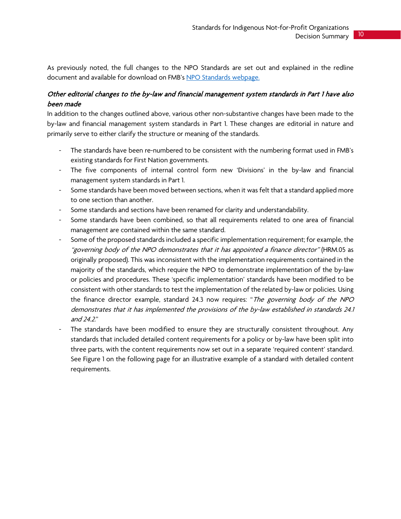As previously noted, the full changes to the NPO Standards are set out and explained in the redline document and available for download on FMB's [NPO Standards webpage.](https://fnfmb.com/en/services/set-standards/standards-not-profit-organizations)

#### <span id="page-9-0"></span>Other editorial changes to the by-law and financial management system standards in Part 1 have also been made

In addition to the changes outlined above, various other non-substantive changes have been made to the by-law and financial management system standards in Part 1. These changes are editorial in nature and primarily serve to either clarify the structure or meaning of the standards.

- The standards have been re-numbered to be consistent with the numbering format used in FMB's existing standards for First Nation governments.
- The five components of internal control form new 'Divisions' in the by-law and financial management system standards in Part 1.
- Some standards have been moved between sections, when it was felt that a standard applied more to one section than another.
- Some standards and sections have been renamed for clarity and understandability.
- Some standards have been combined, so that all requirements related to one area of financial management are contained within the same standard.
- Some of the proposed standards included a specific implementation requirement; for example, the "governing body of the NPO demonstrates that it has appointed a finance director" (HRM.05 as originally proposed). This was inconsistent with the implementation requirements contained in the majority of the standards, which require the NPO to demonstrate implementation of the by-law or policies and procedures. These 'specific implementation' standards have been modified to be consistent with other standards to test the implementation of the related by-law or policies. Using the finance director example, standard 24.3 now requires: "The governing body of the NPO demonstrates that it has implemented the provisions of the by-law established in standards 24.1 and 24.2."
- The standards have been modified to ensure they are structurally consistent throughout. Any standards that included detailed content requirements for a policy or by-law have been split into three parts, with the content requirements now set out in a separate 'required content' standard. See Figure 1 on the following page for an illustrative example of a standard with detailed content requirements.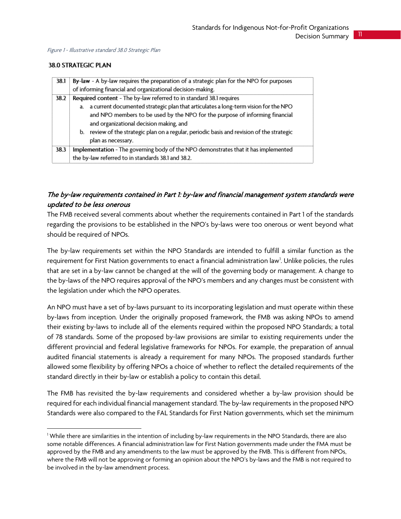#### **38.0 STRATEGIC PLAN**

|      | 38.1 By-law - A by-law requires the preparation of a strategic plan for the NPO for purposes<br>of informing financial and organizational decision-making.                                                                                                                                                                                                                                                   |
|------|--------------------------------------------------------------------------------------------------------------------------------------------------------------------------------------------------------------------------------------------------------------------------------------------------------------------------------------------------------------------------------------------------------------|
| 38.2 | Required content - The by-law referred to in standard 38.1 requires<br>a. a current documented strategic plan that articulates a long-term vision for the NPO<br>and NPO members to be used by the NPO for the purpose of informing financial<br>and organizational decision making, and<br>b. review of the strategic plan on a regular, periodic basis and revision of the strategic<br>plan as necessary. |
| 38.3 | Implementation - The governing body of the NPO demonstrates that it has implemented<br>the by-law referred to in standards 38.1 and 38.2.                                                                                                                                                                                                                                                                    |

#### <span id="page-10-0"></span>The by-law requirements contained in Part 1: by-law and financial management system standards were updated to be less onerous

The FMB received several comments about whether the requirements contained in Part 1 of the standards regarding the provisions to be established in the NPO's by-laws were too onerous or went beyond what should be required of NPOs.

The by-law requirements set within the NPO Standards are intended to fulfill a similar function as the requirement for First Nation governments to enact a financial administration law<sup>[1](#page-10-1)</sup>. Unlike policies, the rules that are set in a by-law cannot be changed at the will of the governing body or management. A change to the by-laws of the NPO requires approval of the NPO's members and any changes must be consistent with the legislation under which the NPO operates.

An NPO must have a set of by-laws pursuant to its incorporating legislation and must operate within these by-laws from inception. Under the originally proposed framework, the FMB was asking NPOs to amend their existing by-laws to include all of the elements required within the proposed NPO Standards; a total of 78 standards. Some of the proposed by-law provisions are similar to existing requirements under the different provincial and federal legislative frameworks for NPOs. For example, the preparation of annual audited financial statements is already a requirement for many NPOs. The proposed standards further allowed some flexibility by offering NPOs a choice of whether to reflect the detailed requirements of the standard directly in their by-law or establish a policy to contain this detail.

The FMB has revisited the by-law requirements and considered whether a by-law provision should be required for each individual financial management standard. The by-law requirements in the proposed NPO Standards were also compared to the FAL Standards for First Nation governments, which set the minimum

<span id="page-10-1"></span><sup>&</sup>lt;sup>1</sup> While there are similarities in the intention of including by-law requirements in the NPO Standards, there are also some notable differences. A financial administration law for First Nation governments made under the FMA must be approved by the FMB and any amendments to the law must be approved by the FMB. This is different from NPOs, where the FMB will not be approving or forming an opinion about the NPO's by-laws and the FMB is not required to be involved in the by-law amendment process.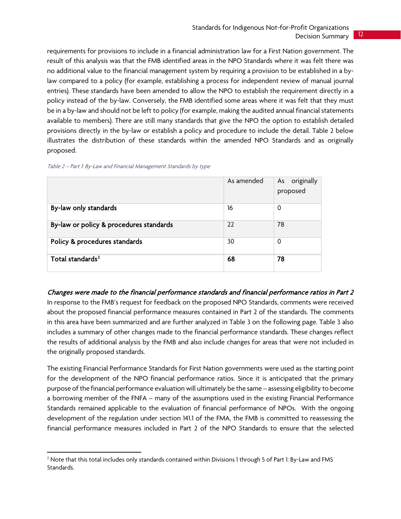#### Standards for Indigenous Not-for-Profit Organizations Decision Summary 12

requirements for provisions to include in a financial administration law for a First Nation government. The result of this analysis was that the FMB identified areas in the NPO Standards where it was felt there was no additional value to the financial management system by requiring a provision to be established in a bylaw compared to a policy (for example, establishing a process for independent review of manual journal entries). These standards have been amended to allow the NPO to establish the requirement directly in a policy instead of the by-law. Conversely, the FMB identified some areas where it was felt that they must be in a by-law and should not be left to policy (for example, making the audited annual financial statements available to members). There are still many standards that give the NPO the option to establish detailed provisions directly in the by-law or establish a policy and procedure to include the detail. Table 2 below illustrates the distribution of these standards within the amended NPO Standards and as originally proposed.

|                                         | As amended | As originally<br>proposed |
|-----------------------------------------|------------|---------------------------|
| By-law only standards                   | 16         | 0                         |
| By-law or policy & procedures standards | 22         | 78                        |
| Policy & procedures standards           | 30         | 0                         |
| Total standards <sup>2</sup>            | 68         | 78                        |

| Table 2 - Part 1: By-Law and Financial Management Standards by type |  |
|---------------------------------------------------------------------|--|
|                                                                     |  |

#### <span id="page-11-0"></span>Changes were made to the financial performance standards and financial performance ratios in Part 2

In response to the FMB's request for feedback on the proposed NPO Standards, comments were received about the proposed financial performance measures contained in Part 2 of the standards. The comments in this area have been summarized and are further analyzed in Table 3 on the following page. Table 3 also includes a summary of other changes made to the financial performance standards. These changes reflect the results of additional analysis by the FMB and also include changes for areas that were not included in the originally proposed standards.

The existing Financial Performance Standards for First Nation governments were used as the starting point for the development of the NPO financial performance ratios. Since it is anticipated that the primary purpose of the financial performance evaluation will ultimately be the same – assessing eligibility to become a borrowing member of the FNFA – many of the assumptions used in the existing Financial Performance Standards remained applicable to the evaluation of financial performance of NPOs. With the ongoing development of the regulation under section 141.1 of the FMA, the FMB is committed to reassessing the financial performance measures included in Part 2 of the NPO Standards to ensure that the selected

<span id="page-11-1"></span><sup>&</sup>lt;sup>2</sup> Note that this total includes only standards contained within Divisions 1 through 5 of Part 1: By-Law and FMS Standards.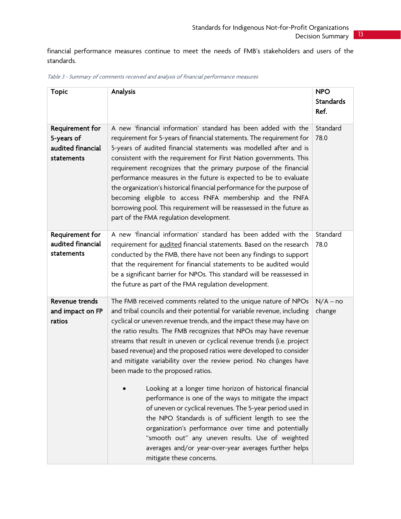financial performance measures continue to meet the needs of FMB's stakeholders and users of the standards.

| <b>Topic</b>                                                     | Analysis                                                                                                                                                                                                                                                                                                                                                                                                                                                                                                                                                                                                                                                                                                                                                                                                                                                                                                                                                                                | <b>NPO</b><br><b>Standards</b><br>Ref. |
|------------------------------------------------------------------|-----------------------------------------------------------------------------------------------------------------------------------------------------------------------------------------------------------------------------------------------------------------------------------------------------------------------------------------------------------------------------------------------------------------------------------------------------------------------------------------------------------------------------------------------------------------------------------------------------------------------------------------------------------------------------------------------------------------------------------------------------------------------------------------------------------------------------------------------------------------------------------------------------------------------------------------------------------------------------------------|----------------------------------------|
| Requirement for<br>5-years of<br>audited financial<br>statements | A new 'financial information' standard has been added with the<br>requirement for 5-years of financial statements. The requirement for<br>5-years of audited financial statements was modelled after and is<br>consistent with the requirement for First Nation governments. This<br>requirement recognizes that the primary purpose of the financial<br>performance measures in the future is expected to be to evaluate<br>the organization's historical financial performance for the purpose of<br>becoming eligible to access FNFA membership and the FNFA<br>borrowing pool. This requirement will be reassessed in the future as<br>part of the FMA regulation development.                                                                                                                                                                                                                                                                                                      | Standard<br>78.0                       |
| Requirement for<br>audited financial<br>statements               | A new 'financial information' standard has been added with the<br>requirement for audited financial statements. Based on the research<br>conducted by the FMB, there have not been any findings to support<br>that the requirement for financial statements to be audited would<br>be a significant barrier for NPOs. This standard will be reassessed in<br>the future as part of the FMA regulation development.                                                                                                                                                                                                                                                                                                                                                                                                                                                                                                                                                                      | Standard<br>78.0                       |
| Revenue trends<br>and impact on FP<br>ratios                     | The FMB received comments related to the unique nature of NPOs<br>and tribal councils and their potential for variable revenue, including<br>cyclical or uneven revenue trends, and the impact these may have on<br>the ratio results. The FMB recognizes that NPOs may have revenue<br>streams that result in uneven or cyclical revenue trends (i.e. project<br>based revenue) and the proposed ratios were developed to consider<br>and mitigate variability over the review period. No changes have<br>been made to the proposed ratios.<br>Looking at a longer time horizon of historical financial<br>performance is one of the ways to mitigate the impact<br>of uneven or cyclical revenues. The 5-year period used in<br>the NPO Standards is of sufficient length to see the<br>organization's performance over time and potentially<br>"smooth out" any uneven results. Use of weighted<br>averages and/or year-over-year averages further helps<br>mitigate these concerns. | $N/A - no$<br>change                   |

| Table 3 - Summary of comments received and analysis of financial performance measures |  |  |  |
|---------------------------------------------------------------------------------------|--|--|--|
|---------------------------------------------------------------------------------------|--|--|--|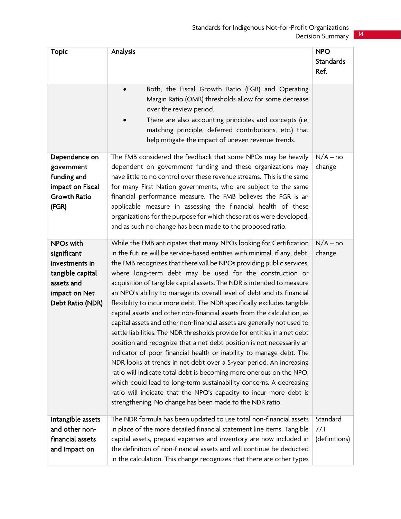| <b>Topic</b>                                                                                                      | Analysis                                                                                                                                                                                                                                                                                                                                                                                                                                                                                                                                                                                                                                                                                                                                                                                                                                                                                                                                                                                                                                                                                                                                                                                                                                                  | <b>NPO</b><br><b>Standards</b><br>Ref. |
|-------------------------------------------------------------------------------------------------------------------|-----------------------------------------------------------------------------------------------------------------------------------------------------------------------------------------------------------------------------------------------------------------------------------------------------------------------------------------------------------------------------------------------------------------------------------------------------------------------------------------------------------------------------------------------------------------------------------------------------------------------------------------------------------------------------------------------------------------------------------------------------------------------------------------------------------------------------------------------------------------------------------------------------------------------------------------------------------------------------------------------------------------------------------------------------------------------------------------------------------------------------------------------------------------------------------------------------------------------------------------------------------|----------------------------------------|
|                                                                                                                   | Both, the Fiscal Growth Ratio (FGR) and Operating<br>Margin Ratio (OMR) thresholds allow for some decrease<br>over the review period.<br>There are also accounting principles and concepts (i.e.<br>matching principle, deferred contributions, etc.) that<br>help mitigate the impact of uneven revenue trends.                                                                                                                                                                                                                                                                                                                                                                                                                                                                                                                                                                                                                                                                                                                                                                                                                                                                                                                                          |                                        |
| Dependence on<br>government<br>funding and<br>impact on Fiscal<br><b>Growth Ratio</b><br>(FGR)                    | The FMB considered the feedback that some NPOs may be heavily<br>dependent on government funding and these organizations may<br>have little to no control over these revenue streams. This is the same<br>for many First Nation governments, who are subject to the same<br>financial performance measure. The FMB believes the FGR is an<br>applicable measure in assessing the financial health of these<br>organizations for the purpose for which these ratios were developed,<br>and as such no change has been made to the proposed ratio.                                                                                                                                                                                                                                                                                                                                                                                                                                                                                                                                                                                                                                                                                                          | $N/A - no$<br>change                   |
| NPOs with<br>significant<br>investments in<br>tangible capital<br>assets and<br>impact on Net<br>Debt Ratio (NDR) | While the FMB anticipates that many NPOs looking for Certification<br>in the future will be service-based entities with minimal, if any, debt,<br>the FMB recognizes that there will be NPOs providing public services,<br>where long-term debt may be used for the construction or<br>acquisition of tangible capital assets. The NDR is intended to measure<br>an NPO's ability to manage its overall level of debt and its financial<br>flexibility to incur more debt. The NDR specifically excludes tangible<br>capital assets and other non-financial assets from the calculation, as<br>capital assets and other non-financial assets are generally not used to<br>settle liabilities. The NDR thresholds provide for entities in a net debt<br>position and recognize that a net debt position is not necessarily an<br>indicator of poor financial health or inability to manage debt. The<br>NDR looks at trends in net debt over a 5-year period. An increasing<br>ratio will indicate total debt is becoming more onerous on the NPO,<br>which could lead to long-term sustainability concerns. A decreasing<br>ratio will indicate that the NPO's capacity to incur more debt is<br>strengthening. No change has been made to the NDR ratio. | $N/A - no$<br>change                   |
| Intangible assets<br>and other non-<br>financial assets<br>and impact on                                          | The NDR formula has been updated to use total non-financial assets<br>in place of the more detailed financial statement line items. Tangible<br>capital assets, prepaid expenses and inventory are now included in<br>the definition of non-financial assets and will continue be deducted<br>in the calculation. This change recognizes that there are other types                                                                                                                                                                                                                                                                                                                                                                                                                                                                                                                                                                                                                                                                                                                                                                                                                                                                                       | Standard<br>77.1<br>(definitions)      |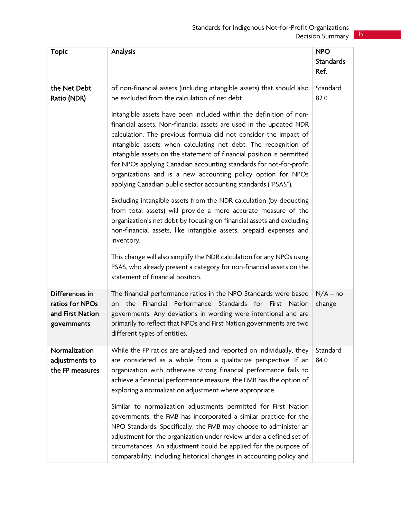| <b>Topic</b>                                                         | Analysis                                                                                                                                                                                                                                                                                                                                                                                                                                                                                                                                                                                                                                                                                                                                                                                                                                                                                                                                                                                                                                                                                                                                          | <b>NPO</b><br><b>Standards</b><br>Ref. |
|----------------------------------------------------------------------|---------------------------------------------------------------------------------------------------------------------------------------------------------------------------------------------------------------------------------------------------------------------------------------------------------------------------------------------------------------------------------------------------------------------------------------------------------------------------------------------------------------------------------------------------------------------------------------------------------------------------------------------------------------------------------------------------------------------------------------------------------------------------------------------------------------------------------------------------------------------------------------------------------------------------------------------------------------------------------------------------------------------------------------------------------------------------------------------------------------------------------------------------|----------------------------------------|
| the Net Debt<br>Ratio (NDR)                                          | of non-financial assets (including intangible assets) that should also<br>be excluded from the calculation of net debt.<br>Intangible assets have been included within the definition of non-<br>financial assets. Non-financial assets are used in the updated NDR<br>calculation. The previous formula did not consider the impact of<br>intangible assets when calculating net debt. The recognition of<br>intangible assets on the statement of financial position is permitted<br>for NPOs applying Canadian accounting standards for not-for-profit<br>organizations and is a new accounting policy option for NPOs<br>applying Canadian public sector accounting standards ("PSAS").<br>Excluding intangible assets from the NDR calculation (by deducting<br>from total assets) will provide a more accurate measure of the<br>organization's net debt by focusing on financial assets and excluding<br>non-financial assets, like intangible assets, prepaid expenses and<br>inventory.<br>This change will also simplify the NDR calculation for any NPOs using<br>PSAS, who already present a category for non-financial assets on the | Standard<br>82.0                       |
| Differences in<br>ratios for NPOs<br>and First Nation<br>governments | statement of financial position.<br>The financial performance ratios in the NPO Standards were based<br>Financial Performance Standards for First Nation<br>the<br>on<br>governments. Any deviations in wording were intentional and are<br>primarily to reflect that NPOs and First Nation governments are two<br>different types of entities.                                                                                                                                                                                                                                                                                                                                                                                                                                                                                                                                                                                                                                                                                                                                                                                                   | $N/A - no$<br>change                   |
| Normalization<br>adjustments to<br>the FP measures                   | While the FP ratios are analyzed and reported on individually, they<br>are considered as a whole from a qualitative perspective. If an<br>organization with otherwise strong financial performance fails to<br>achieve a financial performance measure, the FMB has the option of<br>exploring a normalization adjustment where appropriate.<br>Similar to normalization adjustments permitted for First Nation<br>governments, the FMB has incorporated a similar practice for the<br>NPO Standards. Specifically, the FMB may choose to administer an<br>adjustment for the organization under review under a defined set of<br>circumstances. An adjustment could be applied for the purpose of<br>comparability, including historical changes in accounting policy and                                                                                                                                                                                                                                                                                                                                                                        | Standard<br>84.0                       |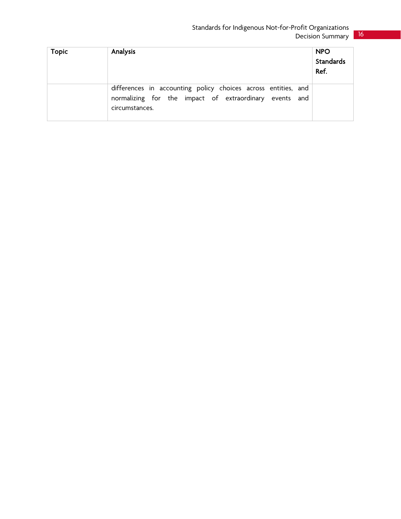| <b>Topic</b> | Analysis                                                                                                                                  | <b>NPO</b><br>Standards<br>Ref. |
|--------------|-------------------------------------------------------------------------------------------------------------------------------------------|---------------------------------|
|              | differences in accounting policy choices across entities, and<br>normalizing for the impact of extraordinary events and<br>circumstances. |                                 |